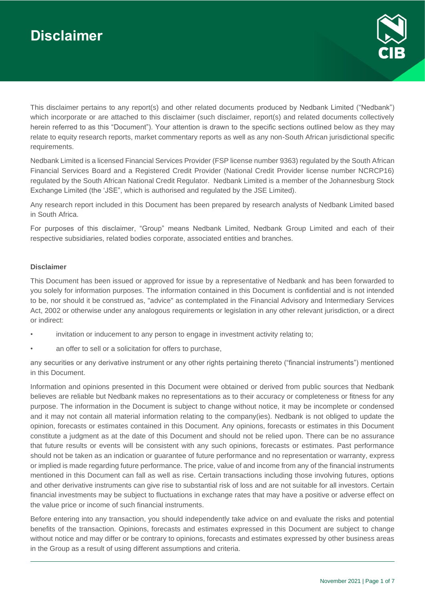# **Disclaimer**



This disclaimer pertains to any report(s) and other related documents produced by Nedbank Limited ("Nedbank") which incorporate or are attached to this disclaimer (such disclaimer, report(s) and related documents collectively herein referred to as this "Document"). Your attention is drawn to the specific sections outlined below as they may relate to equity research reports, market commentary reports as well as any non-South African jurisdictional specific requirements.

Nedbank Limited is a licensed Financial Services Provider (FSP license number 9363) regulated by the South African Financial Services Board and a Registered Credit Provider (National Credit Provider license number NCRCP16) regulated by the South African National Credit Regulator. Nedbank Limited is a member of the Johannesburg Stock Exchange Limited (the 'JSE", which is authorised and regulated by the JSE Limited).

Any research report included in this Document has been prepared by research analysts of Nedbank Limited based in South Africa.

For purposes of this disclaimer, "Group" means Nedbank Limited, Nedbank Group Limited and each of their respective subsidiaries, related bodies corporate, associated entities and branches.

#### **Disclaimer**

This Document has been issued or approved for issue by a representative of Nedbank and has been forwarded to you solely for information purposes. The information contained in this Document is confidential and is not intended to be, nor should it be construed as, "advice" as contemplated in the Financial Advisory and Intermediary Services Act, 2002 or otherwise under any analogous requirements or legislation in any other relevant jurisdiction, or a direct or indirect:

- invitation or inducement to any person to engage in investment activity relating to;
- an offer to sell or a solicitation for offers to purchase,

any securities or any derivative instrument or any other rights pertaining thereto ("financial instruments") mentioned in this Document.

Information and opinions presented in this Document were obtained or derived from public sources that Nedbank believes are reliable but Nedbank makes no representations as to their accuracy or completeness or fitness for any purpose. The information in the Document is subject to change without notice, it may be incomplete or condensed and it may not contain all material information relating to the company(ies). Nedbank is not obliged to update the opinion, forecasts or estimates contained in this Document. Any opinions, forecasts or estimates in this Document constitute a judgment as at the date of this Document and should not be relied upon. There can be no assurance that future results or events will be consistent with any such opinions, forecasts or estimates. Past performance should not be taken as an indication or guarantee of future performance and no representation or warranty, express or implied is made regarding future performance. The price, value of and income from any of the financial instruments mentioned in this Document can fall as well as rise. Certain transactions including those involving futures, options and other derivative instruments can give rise to substantial risk of loss and are not suitable for all investors. Certain financial investments may be subject to fluctuations in exchange rates that may have a positive or adverse effect on the value price or income of such financial instruments.

Before entering into any transaction, you should independently take advice on and evaluate the risks and potential benefits of the transaction. Opinions, forecasts and estimates expressed in this Document are subject to change without notice and may differ or be contrary to opinions, forecasts and estimates expressed by other business areas in the Group as a result of using different assumptions and criteria.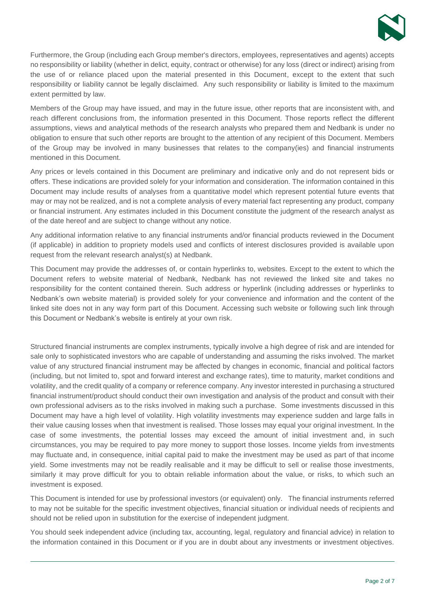

Furthermore, the Group (including each Group member's directors, employees, representatives and agents) accepts no responsibility or liability (whether in delict, equity, contract or otherwise) for any loss (direct or indirect) arising from the use of or reliance placed upon the material presented in this Document, except to the extent that such responsibility or liability cannot be legally disclaimed. Any such responsibility or liability is limited to the maximum extent permitted by law.

Members of the Group may have issued, and may in the future issue, other reports that are inconsistent with, and reach different conclusions from, the information presented in this Document. Those reports reflect the different assumptions, views and analytical methods of the research analysts who prepared them and Nedbank is under no obligation to ensure that such other reports are brought to the attention of any recipient of this Document. Members of the Group may be involved in many businesses that relates to the company(ies) and financial instruments mentioned in this Document.

Any prices or levels contained in this Document are preliminary and indicative only and do not represent bids or offers. These indications are provided solely for your information and consideration. The information contained in this Document may include results of analyses from a quantitative model which represent potential future events that may or may not be realized, and is not a complete analysis of every material fact representing any product, company or financial instrument. Any estimates included in this Document constitute the judgment of the research analyst as of the date hereof and are subject to change without any notice.

Any additional information relative to any financial instruments and/or financial products reviewed in the Document (if applicable) in addition to propriety models used and conflicts of interest disclosures provided is available upon request from the relevant research analyst(s) at Nedbank.

This Document may provide the addresses of, or contain hyperlinks to, websites. Except to the extent to which the Document refers to website material of Nedbank, Nedbank has not reviewed the linked site and takes no responsibility for the content contained therein. Such address or hyperlink (including addresses or hyperlinks to Nedbank's own website material) is provided solely for your convenience and information and the content of the linked site does not in any way form part of this Document. Accessing such website or following such link through this Document or Nedbank's website is entirely at your own risk.

Structured financial instruments are complex instruments, typically involve a high degree of risk and are intended for sale only to sophisticated investors who are capable of understanding and assuming the risks involved. The market value of any structured financial instrument may be affected by changes in economic, financial and political factors (including, but not limited to, spot and forward interest and exchange rates), time to maturity, market conditions and volatility, and the credit quality of a company or reference company. Any investor interested in purchasing a structured financial instrument/product should conduct their own investigation and analysis of the product and consult with their own professional advisers as to the risks involved in making such a purchase. Some investments discussed in this Document may have a high level of volatility. High volatility investments may experience sudden and large falls in their value causing losses when that investment is realised. Those losses may equal your original investment. In the case of some investments, the potential losses may exceed the amount of initial investment and, in such circumstances, you may be required to pay more money to support those losses. Income yields from investments may fluctuate and, in consequence, initial capital paid to make the investment may be used as part of that income yield. Some investments may not be readily realisable and it may be difficult to sell or realise those investments, similarly it may prove difficult for you to obtain reliable information about the value, or risks, to which such an investment is exposed.

This Document is intended for use by professional investors (or equivalent) only. The financial instruments referred to may not be suitable for the specific investment objectives, financial situation or individual needs of recipients and should not be relied upon in substitution for the exercise of independent judgment.

You should seek independent advice (including tax, accounting, legal, regulatory and financial advice) in relation to the information contained in this Document or if you are in doubt about any investments or investment objectives.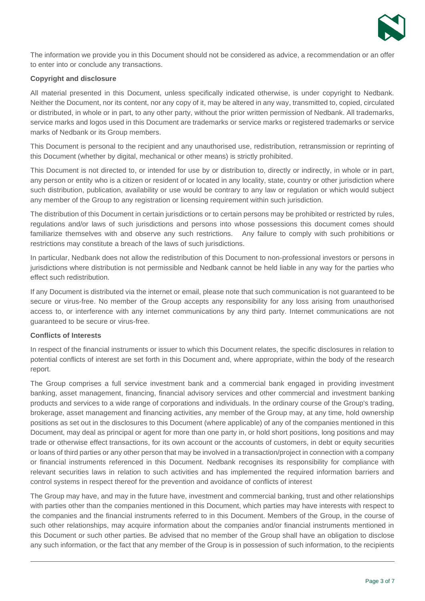

The information we provide you in this Document should not be considered as advice, a recommendation or an offer to enter into or conclude any transactions.

## **Copyright and disclosure**

All material presented in this Document, unless specifically indicated otherwise, is under copyright to Nedbank. Neither the Document, nor its content, nor any copy of it, may be altered in any way, transmitted to, copied, circulated or distributed, in whole or in part, to any other party, without the prior written permission of Nedbank. All trademarks, service marks and logos used in this Document are trademarks or service marks or registered trademarks or service marks of Nedbank or its Group members.

This Document is personal to the recipient and any unauthorised use, redistribution, retransmission or reprinting of this Document (whether by digital, mechanical or other means) is strictly prohibited.

This Document is not directed to, or intended for use by or distribution to, directly or indirectly, in whole or in part, any person or entity who is a citizen or resident of or located in any locality, state, country or other jurisdiction where such distribution, publication, availability or use would be contrary to any law or regulation or which would subject any member of the Group to any registration or licensing requirement within such jurisdiction.

The distribution of this Document in certain jurisdictions or to certain persons may be prohibited or restricted by rules, regulations and/or laws of such jurisdictions and persons into whose possessions this document comes should familiarize themselves with and observe any such restrictions. Any failure to comply with such prohibitions or restrictions may constitute a breach of the laws of such jurisdictions.

In particular, Nedbank does not allow the redistribution of this Document to non-professional investors or persons in jurisdictions where distribution is not permissible and Nedbank cannot be held liable in any way for the parties who effect such redistribution.

If any Document is distributed via the internet or email, please note that such communication is not guaranteed to be secure or virus-free. No member of the Group accepts any responsibility for any loss arising from unauthorised access to, or interference with any internet communications by any third party. Internet communications are not guaranteed to be secure or virus-free.

#### **Conflicts of Interests**

In respect of the financial instruments or issuer to which this Document relates, the specific disclosures in relation to potential conflicts of interest are set forth in this Document and, where appropriate, within the body of the research report.

The Group comprises a full service investment bank and a commercial bank engaged in providing investment banking, asset management, financing, financial advisory services and other commercial and investment banking products and services to a wide range of corporations and individuals. In the ordinary course of the Group's trading, brokerage, asset management and financing activities, any member of the Group may, at any time, hold ownership positions as set out in the disclosures to this Document (where applicable) of any of the companies mentioned in this Document, may deal as principal or agent for more than one party in, or hold short positions, long positions and may trade or otherwise effect transactions, for its own account or the accounts of customers, in debt or equity securities or loans of third parties or any other person that may be involved in a transaction/project in connection with a company or financial instruments referenced in this Document. Nedbank recognises its responsibility for compliance with relevant securities laws in relation to such activities and has implemented the required information barriers and control systems in respect thereof for the prevention and avoidance of conflicts of interest

The Group may have, and may in the future have, investment and commercial banking, trust and other relationships with parties other than the companies mentioned in this Document, which parties may have interests with respect to the companies and the financial instruments referred to in this Document. Members of the Group, in the course of such other relationships, may acquire information about the companies and/or financial instruments mentioned in this Document or such other parties. Be advised that no member of the Group shall have an obligation to disclose any such information, or the fact that any member of the Group is in possession of such information, to the recipients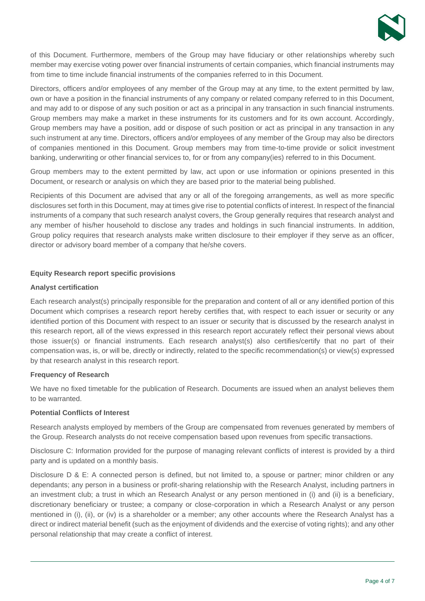

of this Document. Furthermore, members of the Group may have fiduciary or other relationships whereby such member may exercise voting power over financial instruments of certain companies, which financial instruments may from time to time include financial instruments of the companies referred to in this Document.

Directors, officers and/or employees of any member of the Group may at any time, to the extent permitted by law, own or have a position in the financial instruments of any company or related company referred to in this Document, and may add to or dispose of any such position or act as a principal in any transaction in such financial instruments. Group members may make a market in these instruments for its customers and for its own account. Accordingly, Group members may have a position, add or dispose of such position or act as principal in any transaction in any such instrument at any time. Directors, officers and/or employees of any member of the Group may also be directors of companies mentioned in this Document. Group members may from time-to-time provide or solicit investment banking, underwriting or other financial services to, for or from any company(ies) referred to in this Document.

Group members may to the extent permitted by law, act upon or use information or opinions presented in this Document, or research or analysis on which they are based prior to the material being published.

Recipients of this Document are advised that any or all of the foregoing arrangements, as well as more specific disclosures set forth in this Document, may at times give rise to potential conflicts of interest. In respect of the financial instruments of a company that such research analyst covers, the Group generally requires that research analyst and any member of his/her household to disclose any trades and holdings in such financial instruments. In addition, Group policy requires that research analysts make written disclosure to their employer if they serve as an officer, director or advisory board member of a company that he/she covers.

#### **Equity Research report specific provisions**

#### **Analyst certification**

Each research analyst(s) principally responsible for the preparation and content of all or any identified portion of this Document which comprises a research report hereby certifies that, with respect to each issuer or security or any identified portion of this Document with respect to an issuer or security that is discussed by the research analyst in this research report, all of the views expressed in this research report accurately reflect their personal views about those issuer(s) or financial instruments. Each research analyst(s) also certifies/certify that no part of their compensation was, is, or will be, directly or indirectly, related to the specific recommendation(s) or view(s) expressed by that research analyst in this research report.

#### **Frequency of Research**

We have no fixed timetable for the publication of Research. Documents are issued when an analyst believes them to be warranted.

#### **Potential Conflicts of Interest**

Research analysts employed by members of the Group are compensated from revenues generated by members of the Group. Research analysts do not receive compensation based upon revenues from specific transactions.

Disclosure C: Information provided for the purpose of managing relevant conflicts of interest is provided by a third party and is updated on a monthly basis.

Disclosure D & E: A connected person is defined, but not limited to, a spouse or partner; minor children or any dependants; any person in a business or profit-sharing relationship with the Research Analyst, including partners in an investment club; a trust in which an Research Analyst or any person mentioned in (i) and (ii) is a beneficiary, discretionary beneficiary or trustee; a company or close-corporation in which a Research Analyst or any person mentioned in (i), (ii), or (iv) is a shareholder or a member; any other accounts where the Research Analyst has a direct or indirect material benefit (such as the enjoyment of dividends and the exercise of voting rights); and any other personal relationship that may create a conflict of interest.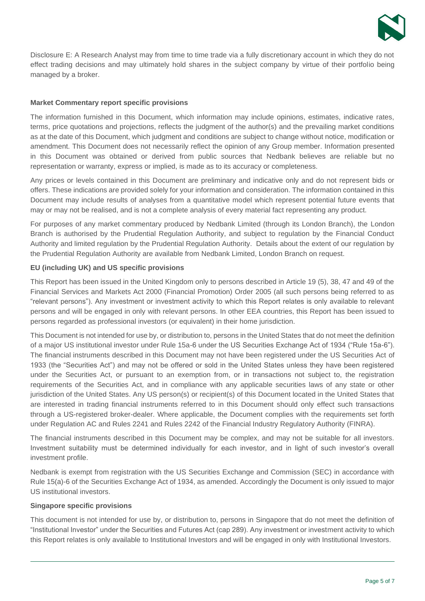

Disclosure E: A Research Analyst may from time to time trade via a fully discretionary account in which they do not effect trading decisions and may ultimately hold shares in the subject company by virtue of their portfolio being managed by a broker.

## **Market Commentary report specific provisions**

The information furnished in this Document, which information may include opinions, estimates, indicative rates, terms, price quotations and projections, reflects the judgment of the author(s) and the prevailing market conditions as at the date of this Document, which judgment and conditions are subject to change without notice, modification or amendment. This Document does not necessarily reflect the opinion of any Group member. Information presented in this Document was obtained or derived from public sources that Nedbank believes are reliable but no representation or warranty, express or implied, is made as to its accuracy or completeness.

Any prices or levels contained in this Document are preliminary and indicative only and do not represent bids or offers. These indications are provided solely for your information and consideration. The information contained in this Document may include results of analyses from a quantitative model which represent potential future events that may or may not be realised, and is not a complete analysis of every material fact representing any product.

For purposes of any market commentary produced by Nedbank Limited (through its London Branch), the London Branch is authorised by the Prudential Regulation Authority, and subject to regulation by the Financial Conduct Authority and limited regulation by the Prudential Regulation Authority. Details about the extent of our regulation by the Prudential Regulation Authority are available from Nedbank Limited, London Branch on request.

# **EU (including UK) and US specific provisions**

This Report has been issued in the United Kingdom only to persons described in Article 19 (5), 38, 47 and 49 of the Financial Services and Markets Act 2000 (Financial Promotion) Order 2005 (all such persons being referred to as "relevant persons"). Any investment or investment activity to which this Report relates is only available to relevant persons and will be engaged in only with relevant persons. In other EEA countries, this Report has been issued to persons regarded as professional investors (or equivalent) in their home jurisdiction.

This Document is not intended for use by, or distribution to, persons in the United States that do not meet the definition of a major US institutional investor under Rule 15a-6 under the US Securities Exchange Act of 1934 ("Rule 15a-6"). The financial instruments described in this Document may not have been registered under the US Securities Act of 1933 (the "Securities Act") and may not be offered or sold in the United States unless they have been registered under the Securities Act, or pursuant to an exemption from, or in transactions not subject to, the registration requirements of the Securities Act, and in compliance with any applicable securities laws of any state or other jurisdiction of the United States. Any US person(s) or recipient(s) of this Document located in the United States that are interested in trading financial instruments referred to in this Document should only effect such transactions through a US-registered broker-dealer. Where applicable, the Document complies with the requirements set forth under Regulation AC and Rules 2241 and Rules 2242 of the Financial Industry Regulatory Authority (FINRA).

The financial instruments described in this Document may be complex, and may not be suitable for all investors. Investment suitability must be determined individually for each investor, and in light of such investor's overall investment profile.

Nedbank is exempt from registration with the US Securities Exchange and Commission (SEC) in accordance with Rule 15(a)-6 of the Securities Exchange Act of 1934, as amended. Accordingly the Document is only issued to major US institutional investors.

#### **Singapore specific provisions**

This document is not intended for use by, or distribution to, persons in Singapore that do not meet the definition of "Institutional Investor" under the Securities and Futures Act (cap 289). Any investment or investment activity to which this Report relates is only available to Institutional Investors and will be engaged in only with Institutional Investors.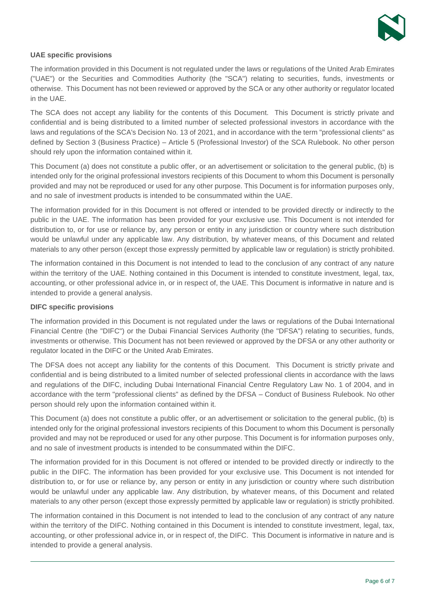

## **UAE specific provisions**

The information provided in this Document is not regulated under the laws or regulations of the United Arab Emirates ("UAE") or the Securities and Commodities Authority (the "SCA") relating to securities, funds, investments or otherwise. This Document has not been reviewed or approved by the SCA or any other authority or regulator located in the UAE.

The SCA does not accept any liability for the contents of this Document. This Document is strictly private and confidential and is being distributed to a limited number of selected professional investors in accordance with the laws and regulations of the SCA's Decision No. 13 of 2021, and in accordance with the term "professional clients" as defined by Section 3 (Business Practice) – Article 5 (Professional Investor) of the SCA Rulebook. No other person should rely upon the information contained within it.

This Document (a) does not constitute a public offer, or an advertisement or solicitation to the general public, (b) is intended only for the original professional investors recipients of this Document to whom this Document is personally provided and may not be reproduced or used for any other purpose. This Document is for information purposes only, and no sale of investment products is intended to be consummated within the UAE.

The information provided for in this Document is not offered or intended to be provided directly or indirectly to the public in the UAE. The information has been provided for your exclusive use. This Document is not intended for distribution to, or for use or reliance by, any person or entity in any jurisdiction or country where such distribution would be unlawful under any applicable law. Any distribution, by whatever means, of this Document and related materials to any other person (except those expressly permitted by applicable law or regulation) is strictly prohibited.

The information contained in this Document is not intended to lead to the conclusion of any contract of any nature within the territory of the UAE. Nothing contained in this Document is intended to constitute investment, legal, tax, accounting, or other professional advice in, or in respect of, the UAE. This Document is informative in nature and is intended to provide a general analysis.

#### **DIFC specific provisions**

The information provided in this Document is not regulated under the laws or regulations of the Dubai International Financial Centre (the "DIFC") or the Dubai Financial Services Authority (the "DFSA") relating to securities, funds, investments or otherwise. This Document has not been reviewed or approved by the DFSA or any other authority or regulator located in the DIFC or the United Arab Emirates.

The DFSA does not accept any liability for the contents of this Document. This Document is strictly private and confidential and is being distributed to a limited number of selected professional clients in accordance with the laws and regulations of the DIFC, including Dubai International Financial Centre Regulatory Law No. 1 of 2004, and in accordance with the term "professional clients" as defined by the DFSA – Conduct of Business Rulebook. No other person should rely upon the information contained within it.

This Document (a) does not constitute a public offer, or an advertisement or solicitation to the general public, (b) is intended only for the original professional investors recipients of this Document to whom this Document is personally provided and may not be reproduced or used for any other purpose. This Document is for information purposes only, and no sale of investment products is intended to be consummated within the DIFC.

The information provided for in this Document is not offered or intended to be provided directly or indirectly to the public in the DIFC. The information has been provided for your exclusive use. This Document is not intended for distribution to, or for use or reliance by, any person or entity in any jurisdiction or country where such distribution would be unlawful under any applicable law. Any distribution, by whatever means, of this Document and related materials to any other person (except those expressly permitted by applicable law or regulation) is strictly prohibited.

The information contained in this Document is not intended to lead to the conclusion of any contract of any nature within the territory of the DIFC. Nothing contained in this Document is intended to constitute investment, legal, tax, accounting, or other professional advice in, or in respect of, the DIFC. This Document is informative in nature and is intended to provide a general analysis.